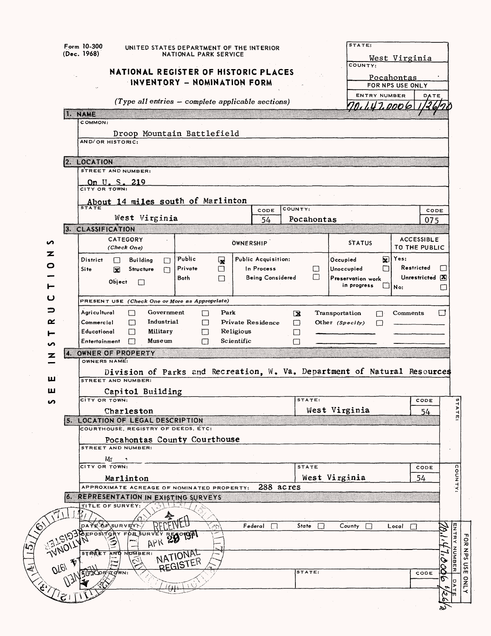|   |                                                           | Form 10-300<br>(Dec. 1968)     |                            | UNITED STATES DEPARTMENT OF THE INTERIOR                            |                        |                            | NATIONAL PARK SERVICE |            |                                                              |                       |              | STATE:                                                                   |                     | <u>West Virginia</u>                  |                              |                       |                   |
|---|-----------------------------------------------------------|--------------------------------|----------------------------|---------------------------------------------------------------------|------------------------|----------------------------|-----------------------|------------|--------------------------------------------------------------|-----------------------|--------------|--------------------------------------------------------------------------|---------------------|---------------------------------------|------------------------------|-----------------------|-------------------|
|   |                                                           |                                |                            | NATIONAL REGISTER OF HISTORIC PLACES<br>INVENTORY - NOMINATION FORM |                        |                            |                       |            |                                                              |                       |              | COUNTY:                                                                  |                     | <u>Pocahontas</u><br>FOR NPS USE ONLY |                              |                       |                   |
|   |                                                           | <b>I. NAME</b>                 |                            | $(Type$ all entries $-$ complete applicable sections)               |                        |                            |                       |            |                                                              |                       |              |                                                                          | <b>ENTRY NUMBER</b> | nn. 1.47.0006                         | DATE                         |                       |                   |
|   |                                                           | COMMON:<br>AND/OR HISTORIC:    |                            | Droop Mountain Battlefield                                          |                        |                            |                       |            |                                                              |                       |              |                                                                          |                     |                                       |                              |                       |                   |
|   |                                                           | 2 LOCATION                     |                            | STREET AND NUMBER:                                                  |                        |                            |                       |            |                                                              |                       |              |                                                                          |                     |                                       |                              |                       |                   |
|   |                                                           | CITY OR TOWN:                  |                            | On U.S. 219                                                         |                        |                            |                       |            |                                                              |                       |              |                                                                          |                     |                                       |                              |                       |                   |
|   |                                                           | <b>STATE</b>                   |                            | About 14 miles south of Marlinton<br>West Virginia                  |                        |                            |                       |            | CODE<br>54                                                   | COUNTY:<br>Pocahontas |              |                                                                          |                     |                                       | CODE<br>075                  |                       |                   |
| ∽ |                                                           | <b>3 CLASSIFICATION</b>        |                            | CATEGORY                                                            |                        |                            |                       |            | <b>ÖWNERSHIP</b>                                             |                       |              | <b>STATUS</b>                                                            |                     |                                       | <b>ACCESSIBLE</b>            |                       |                   |
| z |                                                           |                                |                            | (Check One)                                                         |                        |                            |                       |            |                                                              |                       |              |                                                                          |                     |                                       | TO THE PUBLIC                |                       |                   |
| 0 |                                                           | <b>District</b><br>Site        | ℿ<br>$\mathbf x$<br>Object | Building<br>Structure<br>$\Box$                                     | П<br>П                 | 'Public<br>Private<br>Both | 曼<br>$\Box$<br>П      |            | Public Acquisition:<br>In Process<br><b>Being Considered</b> |                       | ⊔<br>□       | Occupied<br>Unoccupied<br>Preservation work<br>in progress               | ⊠<br>П              | Yes:<br>$\square _{\sf No:}$          | Restricted<br>Unrestricted X | Εł<br>□               |                   |
| ပ |                                                           |                                |                            | PRESENT USE (Check One or More as Appropriate)                      |                        |                            |                       |            |                                                              |                       |              |                                                                          |                     |                                       |                              |                       |                   |
| ⊃ |                                                           | Agricultural                   |                            | П                                                                   | Government             |                            | Park<br>П             |            |                                                              | ⊠                     |              | Transportation                                                           | П                   | Comments                              |                              | $\Box$                |                   |
| œ |                                                           | Commercial<br>Educational      |                            | П<br>П                                                              | Industrial<br>Military |                            | П                     | Religious  | Private Residence                                            | □                     |              | Other $(Specify)$                                                        | П                   |                                       |                              |                       |                   |
| S |                                                           | Entertainment                  |                            | П                                                                   | Museum                 |                            | ГΙ<br>П               | Scientific |                                                              | $\Box$<br>$\Box$      |              |                                                                          |                     |                                       |                              |                       |                   |
| z | KX                                                        |                                |                            | OWNER OF PROPERTY                                                   |                        |                            |                       |            |                                                              |                       |              |                                                                          |                     |                                       |                              |                       |                   |
| ш |                                                           | OWNERS NAME:                   |                            | <b>STREET AND NUMBER:</b>                                           |                        |                            |                       |            |                                                              |                       |              | Division of Parks and Recreation, W. Va. Department of Natural Resources |                     |                                       |                              |                       |                   |
| ш |                                                           |                                |                            | Capitol Building                                                    |                        |                            |                       |            |                                                              |                       |              |                                                                          |                     |                                       |                              |                       |                   |
| n |                                                           | сіту ов тоwn:                  |                            |                                                                     |                        |                            |                       |            |                                                              | STATE:                |              |                                                                          |                     |                                       | CODE                         |                       |                   |
|   |                                                           |                                |                            | Charleston<br>5. LOCATION OF LEGAL DESCRIPTION                      |                        |                            |                       |            |                                                              |                       |              | West Virginia                                                            |                     |                                       | 54                           |                       | TATE              |
|   |                                                           |                                |                            | COURTHOUSE, REGISTRY OF DEEDS, ETC:                                 |                        |                            |                       |            |                                                              |                       |              |                                                                          |                     |                                       |                              |                       |                   |
|   |                                                           |                                |                            | Pocahontas County Courthouse<br><b>STREET AND NUMBER:</b>           |                        |                            |                       |            |                                                              |                       |              |                                                                          |                     |                                       |                              |                       |                   |
|   |                                                           | CITY OR TOWN:                  | Mr                         |                                                                     |                        |                            |                       |            |                                                              | <b>STATE</b>          |              |                                                                          |                     |                                       | CODE                         |                       |                   |
|   |                                                           |                                |                            | Marlinton                                                           |                        |                            |                       |            |                                                              |                       |              | West Virginia                                                            |                     |                                       | 54                           |                       | COUNTY            |
|   |                                                           |                                |                            | APPROXIMATE ACREAGE OF NOMINATED PROPERTY:                          |                        |                            |                       |            | 288 acres                                                    |                       |              |                                                                          |                     |                                       |                              |                       |                   |
|   |                                                           | TITLE OF SURVEY:               |                            | <b>6. REPRESENTATION IN EXISTING SURVEYS</b>                        |                        |                            |                       |            |                                                              |                       |              |                                                                          |                     |                                       |                              |                       |                   |
|   |                                                           | ͻΑŤ⊑ <sup>∷</sup> ŎϜ∖SURVE⁄Y:  |                            |                                                                     |                        |                            |                       |            | $Federal$ $\Box$                                             |                       | State $\Box$ | $County$ $\Box$                                                          |                     | Local                                 | $\Box$                       |                       | $\frac{1}{2}$     |
|   | <b>TVNOIL</b>                                             | EPOSKTORY<br><b>STREET AND</b> |                            | FOR SURVE<br>APR<br>NUMBER:                                         | 29                     | ႃၛၯႄႝ                      |                       |            |                                                              |                       |              |                                                                          |                     |                                       |                              |                       | For<br><b>NPS</b> |
|   | 万<br>$\mathcal{O} \tilde{\mathcal{I}}_{\mathcal{C}_{i'}}$ |                                |                            |                                                                     |                        | NATIONAL<br>REGISTER       |                       |            |                                                              | STATE:                |              |                                                                          |                     |                                       | CODE                         | $\tilde{\mathcal{O}}$ | NUMBER<br>use     |
|   |                                                           |                                |                            |                                                                     |                        | A 50                       |                       |            |                                                              |                       |              |                                                                          |                     |                                       |                              |                       | <b>ONLY</b><br>ħ٦ |
|   |                                                           |                                |                            |                                                                     |                        |                            |                       |            |                                                              |                       |              |                                                                          |                     |                                       |                              | १६                    |                   |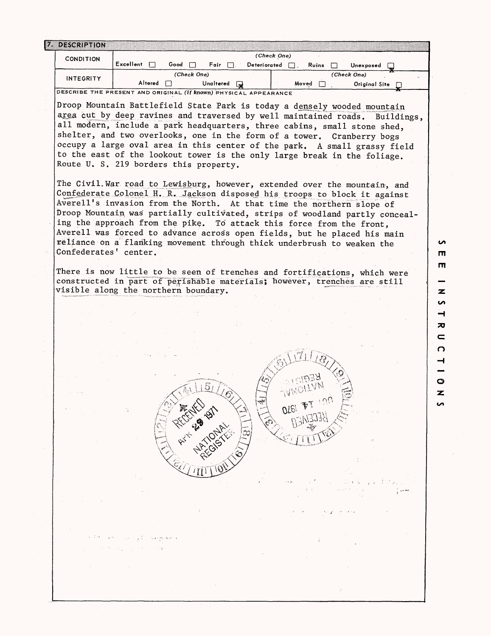| <b>CONDITION</b>      |                                                                                                                                                                                                                                                                                                                                                                                                                                                                                                                                               |                |                 | (Check One)         |              |                          |               |  |
|-----------------------|-----------------------------------------------------------------------------------------------------------------------------------------------------------------------------------------------------------------------------------------------------------------------------------------------------------------------------------------------------------------------------------------------------------------------------------------------------------------------------------------------------------------------------------------------|----------------|-----------------|---------------------|--------------|--------------------------|---------------|--|
|                       | Excellent                                                                                                                                                                                                                                                                                                                                                                                                                                                                                                                                     | Good $\Box$    | Fair $\Box$ .   | Deteriorated $\Box$ | Ruins        | Unexposed<br>(Check One) |               |  |
| <b>INTEGRITY</b>      | Altered                                                                                                                                                                                                                                                                                                                                                                                                                                                                                                                                       | (Check One)    | Unaltered a     |                     | Moved $\Box$ |                          | Original Site |  |
|                       | DESCRIBE THE PRESENT AND ORIGINAL (if known) PHYSICAL APPEARANCE                                                                                                                                                                                                                                                                                                                                                                                                                                                                              |                |                 |                     |              |                          |               |  |
|                       | Droop Mountain Battlefield State Park is today a densely wooded mountain<br>area cut by deep ravines and traversed by well maintained roads. Buildings,<br>all modern, include a park headquarters, three cabins, small stone shed,<br>shelter, and two overlooks, one in the form of a tower. Cranberry bogs<br>occupy a large oval area in this center of the park. A small grassy field<br>to the east of the lookout tower is the only large break in the foliage.<br>Route U. S. 219 borders this property.                              |                |                 |                     |              |                          |               |  |
| Confederates' center. | The Civil. War road to Lewisburg, however, extended over the mountain, and<br>Confederate Colonel H. R. Jackson disposed his troops to block it against<br>Averell's invasion from the North. At that time the northern slope of<br>Droop Mountain was partially cultivated, strips of woodland partly conceal-<br>ing the approach from the pike. To attack this force from the front,<br>Averell was forced to advance across open fields, but he placed his main<br>reliance on a flanking movement through thick underbrush to weaken the |                |                 |                     |              |                          |               |  |
|                       | There is now little to be seen of trenches and fortifications, which were                                                                                                                                                                                                                                                                                                                                                                                                                                                                     |                |                 |                     |              |                          |               |  |
|                       | constructed in part of perishable materials; however, trenches are still<br>visible along the northern boundary.                                                                                                                                                                                                                                                                                                                                                                                                                              |                |                 |                     |              |                          |               |  |
|                       |                                                                                                                                                                                                                                                                                                                                                                                                                                                                                                                                               |                |                 |                     |              |                          |               |  |
|                       |                                                                                                                                                                                                                                                                                                                                                                                                                                                                                                                                               |                |                 |                     |              |                          |               |  |
|                       |                                                                                                                                                                                                                                                                                                                                                                                                                                                                                                                                               |                |                 |                     |              |                          |               |  |
|                       |                                                                                                                                                                                                                                                                                                                                                                                                                                                                                                                                               |                |                 |                     |              |                          |               |  |
|                       |                                                                                                                                                                                                                                                                                                                                                                                                                                                                                                                                               |                |                 |                     |              |                          |               |  |
|                       |                                                                                                                                                                                                                                                                                                                                                                                                                                                                                                                                               |                |                 |                     |              |                          |               |  |
|                       |                                                                                                                                                                                                                                                                                                                                                                                                                                                                                                                                               |                |                 |                     |              |                          |               |  |
|                       |                                                                                                                                                                                                                                                                                                                                                                                                                                                                                                                                               |                |                 |                     |              |                          |               |  |
|                       |                                                                                                                                                                                                                                                                                                                                                                                                                                                                                                                                               |                |                 |                     |              |                          |               |  |
|                       |                                                                                                                                                                                                                                                                                                                                                                                                                                                                                                                                               |                |                 |                     |              |                          |               |  |
|                       |                                                                                                                                                                                                                                                                                                                                                                                                                                                                                                                                               |                |                 |                     |              |                          |               |  |
|                       |                                                                                                                                                                                                                                                                                                                                                                                                                                                                                                                                               |                |                 |                     |              |                          |               |  |
|                       |                                                                                                                                                                                                                                                                                                                                                                                                                                                                                                                                               | Atlantic River | <b>IRTIONAL</b> |                     |              |                          |               |  |
|                       |                                                                                                                                                                                                                                                                                                                                                                                                                                                                                                                                               |                |                 |                     |              |                          |               |  |
|                       |                                                                                                                                                                                                                                                                                                                                                                                                                                                                                                                                               |                |                 |                     |              |                          |               |  |
|                       |                                                                                                                                                                                                                                                                                                                                                                                                                                                                                                                                               |                |                 |                     |              |                          |               |  |
|                       |                                                                                                                                                                                                                                                                                                                                                                                                                                                                                                                                               |                |                 |                     |              |                          |               |  |
|                       |                                                                                                                                                                                                                                                                                                                                                                                                                                                                                                                                               |                |                 |                     |              |                          |               |  |
|                       |                                                                                                                                                                                                                                                                                                                                                                                                                                                                                                                                               |                |                 |                     |              |                          |               |  |
|                       |                                                                                                                                                                                                                                                                                                                                                                                                                                                                                                                                               |                |                 |                     |              |                          |               |  |
|                       |                                                                                                                                                                                                                                                                                                                                                                                                                                                                                                                                               |                |                 |                     |              |                          |               |  |
|                       |                                                                                                                                                                                                                                                                                                                                                                                                                                                                                                                                               |                |                 |                     |              |                          |               |  |
|                       |                                                                                                                                                                                                                                                                                                                                                                                                                                                                                                                                               |                |                 |                     |              |                          |               |  |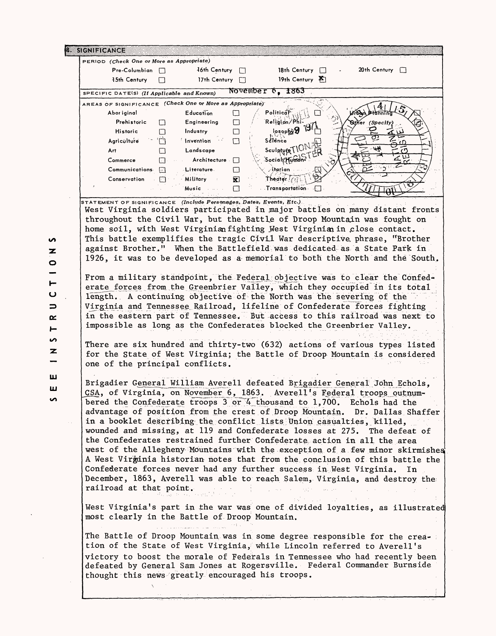| $Pre-Columnbian$                                                    |      | PERIOD (Check One or More as Appropriate)<br>46th Century [                                                                                                                                                                      |        |                                           | 18th Century $\Box$ | $20th$ Century $\Box$                                                                                                                                                                                                                                                                                                                                                                                                                                                                                                                                                                                                                                                                                                                                                                                                                                           |
|---------------------------------------------------------------------|------|----------------------------------------------------------------------------------------------------------------------------------------------------------------------------------------------------------------------------------|--------|-------------------------------------------|---------------------|-----------------------------------------------------------------------------------------------------------------------------------------------------------------------------------------------------------------------------------------------------------------------------------------------------------------------------------------------------------------------------------------------------------------------------------------------------------------------------------------------------------------------------------------------------------------------------------------------------------------------------------------------------------------------------------------------------------------------------------------------------------------------------------------------------------------------------------------------------------------|
|                                                                     |      |                                                                                                                                                                                                                                  |        |                                           | 19th Century F      |                                                                                                                                                                                                                                                                                                                                                                                                                                                                                                                                                                                                                                                                                                                                                                                                                                                                 |
| 15th Century                                                        |      | 17th Century [7]                                                                                                                                                                                                                 |        |                                           |                     |                                                                                                                                                                                                                                                                                                                                                                                                                                                                                                                                                                                                                                                                                                                                                                                                                                                                 |
| SPECIFIC DATE(S) (If Applicable and Known)                          |      |                                                                                                                                                                                                                                  |        | November <sub>6, 1863</sub>               |                     |                                                                                                                                                                                                                                                                                                                                                                                                                                                                                                                                                                                                                                                                                                                                                                                                                                                                 |
| AREAS OF SIGNIFICANCE (Check One or More as Appropriate)            |      |                                                                                                                                                                                                                                  |        |                                           |                     |                                                                                                                                                                                                                                                                                                                                                                                                                                                                                                                                                                                                                                                                                                                                                                                                                                                                 |
| Abor iginal                                                         |      | <b>Education</b>                                                                                                                                                                                                                 | □      | Politic                                   |                     |                                                                                                                                                                                                                                                                                                                                                                                                                                                                                                                                                                                                                                                                                                                                                                                                                                                                 |
| Prehistoric                                                         | П    | Engineering                                                                                                                                                                                                                      | $\Box$ | Religion/Phi                              | 105000000           | <b>Suther (Specify</b>                                                                                                                                                                                                                                                                                                                                                                                                                                                                                                                                                                                                                                                                                                                                                                                                                                          |
| Historic                                                            | П    | Industry                                                                                                                                                                                                                         | □      |                                           |                     |                                                                                                                                                                                                                                                                                                                                                                                                                                                                                                                                                                                                                                                                                                                                                                                                                                                                 |
| Agriculture                                                         | ʻГ I | $^{\prime}$ Invention $^{\prime}$                                                                                                                                                                                                | $\Box$ | Science<br>Sculpture TION                 |                     |                                                                                                                                                                                                                                                                                                                                                                                                                                                                                                                                                                                                                                                                                                                                                                                                                                                                 |
| Art                                                                 | □    | Landscape                                                                                                                                                                                                                        |        | Social Humdn <sup>2</sup>                 |                     | $\epsilon$<br>てい                                                                                                                                                                                                                                                                                                                                                                                                                                                                                                                                                                                                                                                                                                                                                                                                                                                |
| Commerce                                                            | 口    | $\therefore$ Architecture $\Box$                                                                                                                                                                                                 |        | ∕i≹arian -                                |                     |                                                                                                                                                                                                                                                                                                                                                                                                                                                                                                                                                                                                                                                                                                                                                                                                                                                                 |
| Communications a                                                    |      | Literature.                                                                                                                                                                                                                      | 同      | Theater <i>CIT</i>                        |                     |                                                                                                                                                                                                                                                                                                                                                                                                                                                                                                                                                                                                                                                                                                                                                                                                                                                                 |
| Conservation                                                        | n.   | Military<br>Music and                                                                                                                                                                                                            | 因<br>П | $\ldots$ Transportation $\ldots$ $\Box$ . |                     |                                                                                                                                                                                                                                                                                                                                                                                                                                                                                                                                                                                                                                                                                                                                                                                                                                                                 |
| STATEMENT OF SIGNIFICANCE (Include Personages, Dates, Events, Etc.) |      |                                                                                                                                                                                                                                  |        |                                           |                     |                                                                                                                                                                                                                                                                                                                                                                                                                                                                                                                                                                                                                                                                                                                                                                                                                                                                 |
|                                                                     |      |                                                                                                                                                                                                                                  |        |                                           |                     | West Virginia soldiers participated in major battles on many distant fronts<br>throughout the Civil War, but the Battle of Droop Mountain was fought on<br>home soil, with West Virginian fighting West Virginian in close contact.<br>This battle exemplifies the tragic Civil War descriptive phrase, "Brother<br>against Brother." When the Battlefield was dedicated as a State Park in<br>1926, it was to be developed as a memorial to both the North and the South.                                                                                                                                                                                                                                                                                                                                                                                      |
|                                                                     |      |                                                                                                                                                                                                                                  |        |                                           |                     | From a military standpoint, the Federal objective was to clear the Confed-<br>erate forces from the Creenbrier Valley, which they occupied in its total<br>length. A continuing objective of the North was the severing of the<br>Virginia and Tennessee Railroad, lifeline of Confederate forces fighting<br>in the eastern part of Tennessee. But access to this railroad was next to<br>impossible as long as the Confederates blocked the Greenbrier Valley.                                                                                                                                                                                                                                                                                                                                                                                                |
| one of the principal conflicts.                                     |      |                                                                                                                                                                                                                                  |        |                                           |                     | There are six hundred and thirty-two (632) actions of various types listed<br>for the State of West Virginia; the Battle of Droop Mountain is considered                                                                                                                                                                                                                                                                                                                                                                                                                                                                                                                                                                                                                                                                                                        |
| railroad at that point.                                             |      |                                                                                                                                                                                                                                  |        |                                           |                     | Brigadier General William Averell defeated Brigadier General John Echols,<br>CSA, of Virginia, on November 6, 1863. Averell's Federal troops outnum-<br>bered the Confederate troops 3 or 4 thousand to 1,700. Echols had the<br>advantage of position from the crest of Droop Mountain. Dr. Dallas Shaffer<br>in a booklet describing the conflict lists Union casualties, killed,<br>wounded and missing, at 119 and Confederate losses at 275. The defeat of<br>the Confederates restrained further Confederate action in all the area<br>west of the Allegheny Mountains with the exception of a few minor skirmishes<br>A West Virginia historian notes that from the conclusion of this battle the<br>Confederate forces never had any further success in West Virginia. In<br>December, 1863, Averell was able to reach Salem, Virginia, and destroy the |
| most clearly in the Battle of Droop Mountain.                       |      | a provincia de la contrata de la contrata de la contrata de la contrata de la contrata de la contrata de la co<br>La contrata de la contrata de la contrata de la contrata de la contrata de la contrata de la contrata de la co |        |                                           | <b>Collection</b>   | West Virginia's part in the war was one of divided loyalties, as illustrated<br>The Battle of Droop Mountain was in some degree responsible for the crea-                                                                                                                                                                                                                                                                                                                                                                                                                                                                                                                                                                                                                                                                                                       |
|                                                                     |      |                                                                                                                                                                                                                                  |        |                                           |                     |                                                                                                                                                                                                                                                                                                                                                                                                                                                                                                                                                                                                                                                                                                                                                                                                                                                                 |
|                                                                     |      |                                                                                                                                                                                                                                  |        |                                           |                     | tion of the State of West Virginia, while Lincoln referred to Averell's                                                                                                                                                                                                                                                                                                                                                                                                                                                                                                                                                                                                                                                                                                                                                                                         |
| thought this news greatly encouraged his troops.                    |      |                                                                                                                                                                                                                                  |        |                                           |                     | victory to boost the morale of Federals in Tennessee who had recently been<br>defeated by General Sam Jones at Rogersville. Federal Commander Burnside                                                                                                                                                                                                                                                                                                                                                                                                                                                                                                                                                                                                                                                                                                          |

z .<br>O I-ِّں **=3**  *OtL*  $\vdash$  $\mathbf{v}$  $\frac{z}{-}$ **UJ UJ**